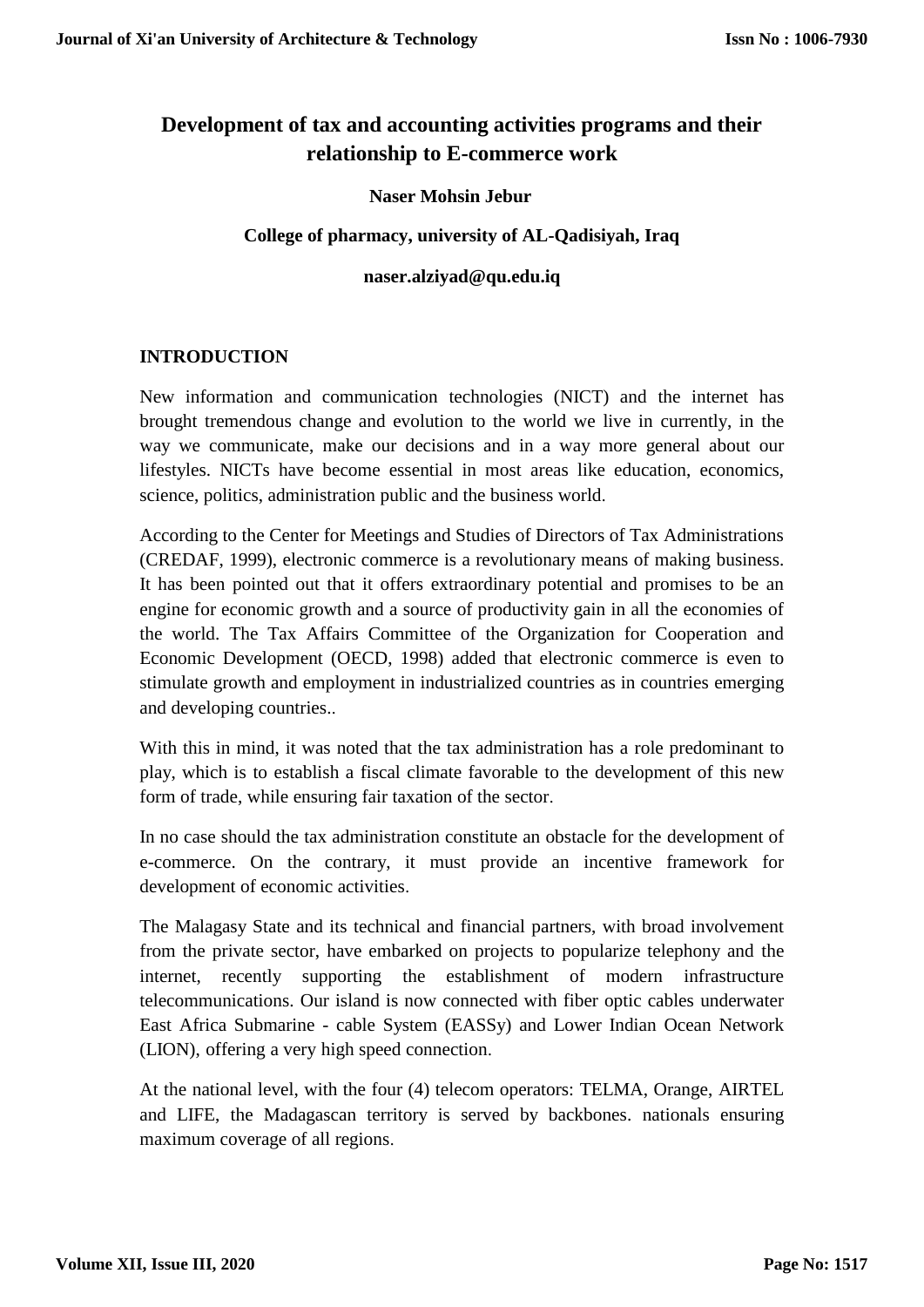# **Development of tax and accounting activities programs and their relationship to E-commerce work**

# **Naser Mohsin Jebur**

### **College of pharmacy, university of AL-Qadisiyah, Iraq**

### **naser.alziyad@qu.edu.iq**

# **INTRODUCTION**

New information and communication technologies (NICT) and the internet has brought tremendous change and evolution to the world we live in currently, in the way we communicate, make our decisions and in a way more general about our lifestyles. NICTs have become essential in most areas like education, economics, science, politics, administration public and the business world.

According to the Center for Meetings and Studies of Directors of Tax Administrations (CREDAF, 1999), electronic commerce is a revolutionary means of making business. It has been pointed out that it offers extraordinary potential and promises to be an engine for economic growth and a source of productivity gain in all the economies of the world. The Tax Affairs Committee of the Organization for Cooperation and Economic Development (OECD, 1998) added that electronic commerce is even to stimulate growth and employment in industrialized countries as in countries emerging and developing countries..

With this in mind, it was noted that the tax administration has a role predominant to play, which is to establish a fiscal climate favorable to the development of this new form of trade, while ensuring fair taxation of the sector.

In no case should the tax administration constitute an obstacle for the development of e-commerce. On the contrary, it must provide an incentive framework for development of economic activities.

The Malagasy State and its technical and financial partners, with broad involvement from the private sector, have embarked on projects to popularize telephony and the internet, recently supporting the establishment of modern infrastructure telecommunications. Our island is now connected with fiber optic cables underwater East Africa Submarine - cable System (EASSy) and Lower Indian Ocean Network (LION), offering a very high speed connection.

At the national level, with the four (4) telecom operators: TELMA, Orange, AIRTEL and LIFE, the Madagascan territory is served by backbones. nationals ensuring maximum coverage of all regions.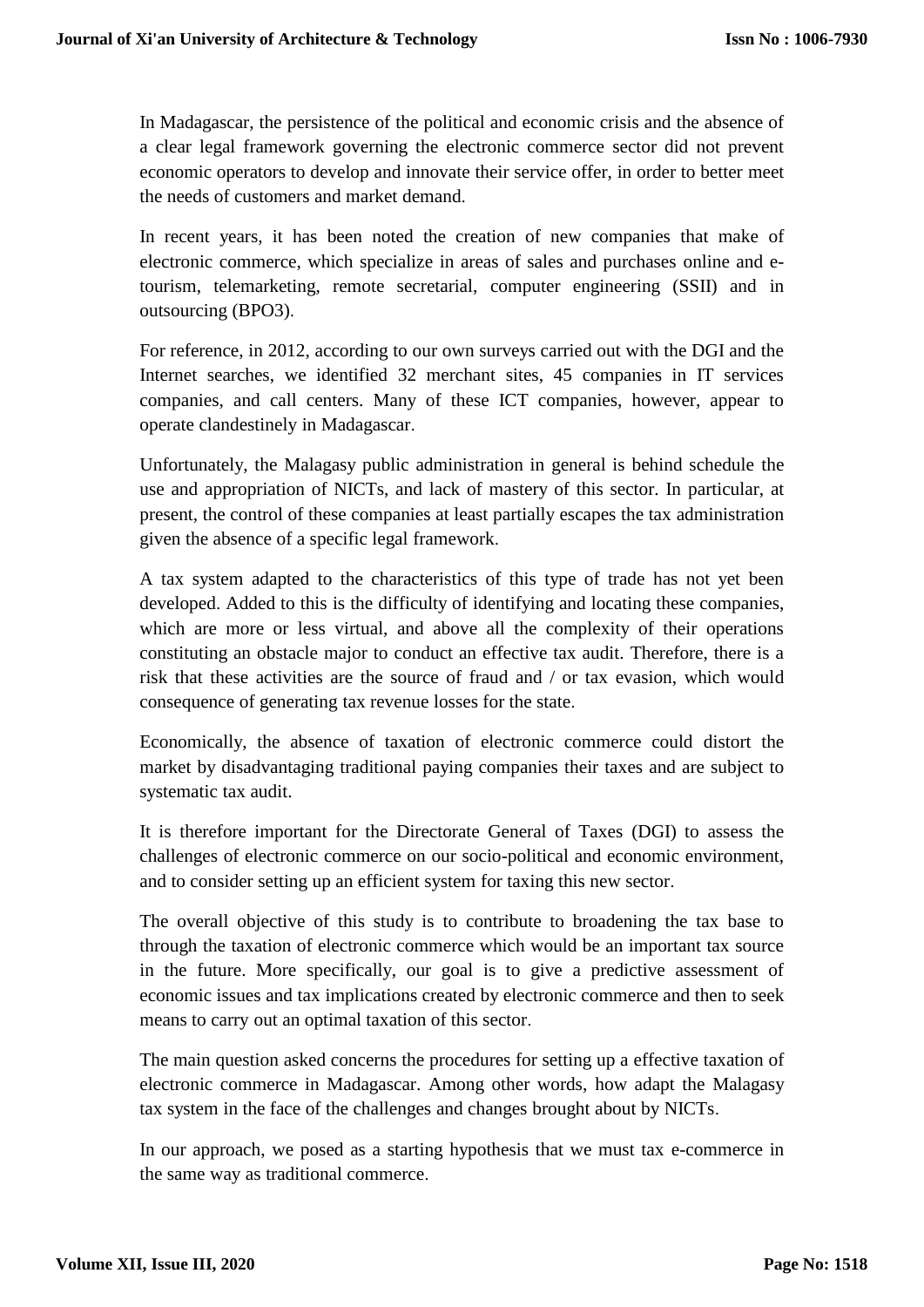In Madagascar, the persistence of the political and economic crisis and the absence of a clear legal framework governing the electronic commerce sector did not prevent economic operators to develop and innovate their service offer, in order to better meet the needs of customers and market demand.

In recent years, it has been noted the creation of new companies that make of electronic commerce, which specialize in areas of sales and purchases online and etourism, telemarketing, remote secretarial, computer engineering (SSII) and in outsourcing (BPO3).

For reference, in 2012, according to our own surveys carried out with the DGI and the Internet searches, we identified 32 merchant sites, 45 companies in IT services companies, and call centers. Many of these ICT companies, however, appear to operate clandestinely in Madagascar.

Unfortunately, the Malagasy public administration in general is behind schedule the use and appropriation of NICTs, and lack of mastery of this sector. In particular, at present, the control of these companies at least partially escapes the tax administration given the absence of a specific legal framework.

A tax system adapted to the characteristics of this type of trade has not yet been developed. Added to this is the difficulty of identifying and locating these companies, which are more or less virtual, and above all the complexity of their operations constituting an obstacle major to conduct an effective tax audit. Therefore, there is a risk that these activities are the source of fraud and / or tax evasion, which would consequence of generating tax revenue losses for the state.

Economically, the absence of taxation of electronic commerce could distort the market by disadvantaging traditional paying companies their taxes and are subject to systematic tax audit.

It is therefore important for the Directorate General of Taxes (DGI) to assess the challenges of electronic commerce on our socio-political and economic environment, and to consider setting up an efficient system for taxing this new sector.

The overall objective of this study is to contribute to broadening the tax base to through the taxation of electronic commerce which would be an important tax source in the future. More specifically, our goal is to give a predictive assessment of economic issues and tax implications created by electronic commerce and then to seek means to carry out an optimal taxation of this sector.

The main question asked concerns the procedures for setting up a effective taxation of electronic commerce in Madagascar. Among other words, how adapt the Malagasy tax system in the face of the challenges and changes brought about by NICTs.

In our approach, we posed as a starting hypothesis that we must tax e-commerce in the same way as traditional commerce.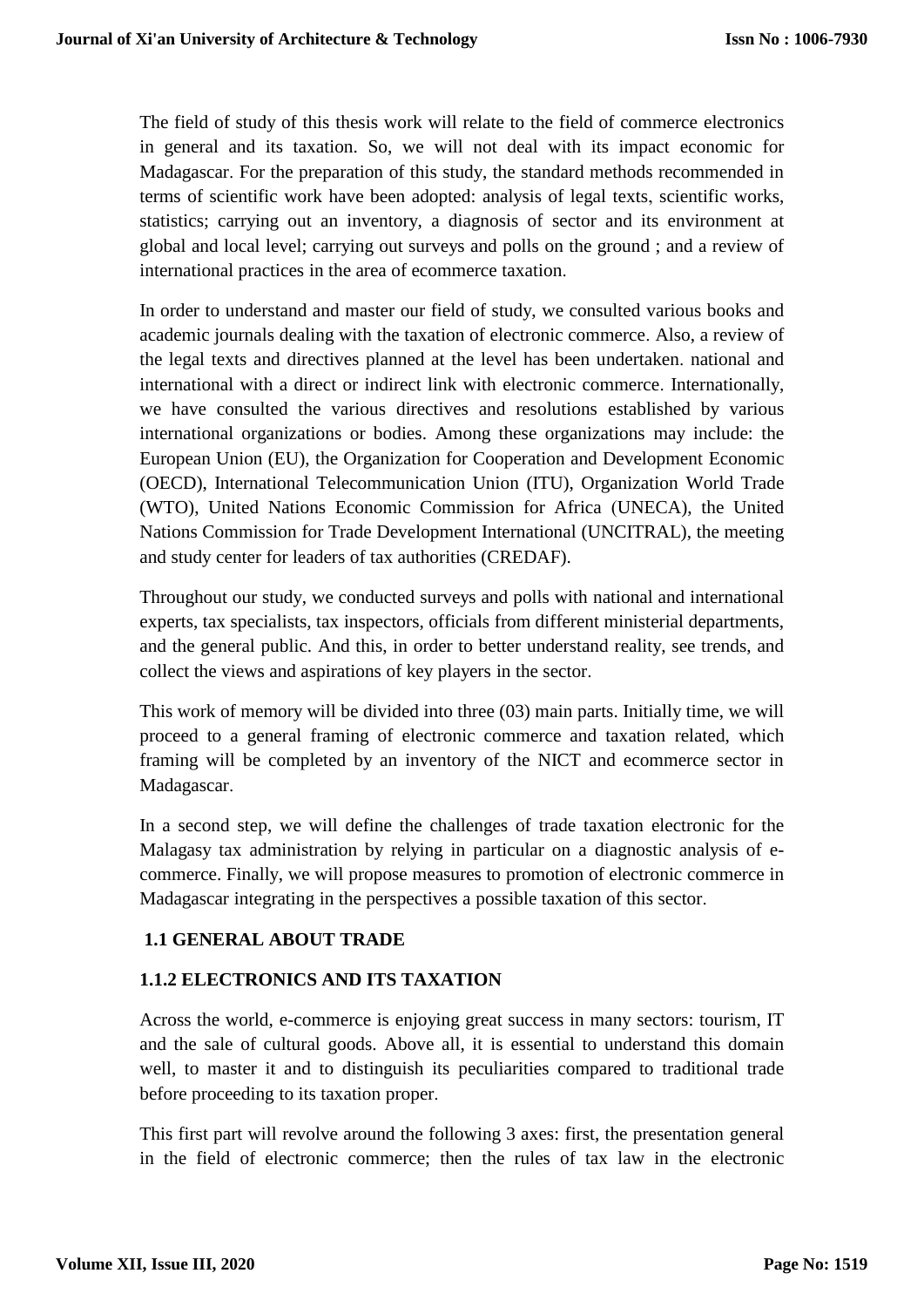The field of study of this thesis work will relate to the field of commerce electronics in general and its taxation. So, we will not deal with its impact economic for Madagascar. For the preparation of this study, the standard methods recommended in terms of scientific work have been adopted: analysis of legal texts, scientific works, statistics; carrying out an inventory, a diagnosis of sector and its environment at global and local level; carrying out surveys and polls on the ground ; and a review of international practices in the area of ecommerce taxation.

In order to understand and master our field of study, we consulted various books and academic journals dealing with the taxation of electronic commerce. Also, a review of the legal texts and directives planned at the level has been undertaken. national and international with a direct or indirect link with electronic commerce. Internationally, we have consulted the various directives and resolutions established by various international organizations or bodies. Among these organizations may include: the European Union (EU), the Organization for Cooperation and Development Economic (OECD), International Telecommunication Union (ITU), Organization World Trade (WTO), United Nations Economic Commission for Africa (UNECA), the United Nations Commission for Trade Development International (UNCITRAL), the meeting and study center for leaders of tax authorities (CREDAF).

Throughout our study, we conducted surveys and polls with national and international experts, tax specialists, tax inspectors, officials from different ministerial departments, and the general public. And this, in order to better understand reality, see trends, and collect the views and aspirations of key players in the sector.

This work of memory will be divided into three (03) main parts. Initially time, we will proceed to a general framing of electronic commerce and taxation related, which framing will be completed by an inventory of the NICT and ecommerce sector in Madagascar.

In a second step, we will define the challenges of trade taxation electronic for the Malagasy tax administration by relying in particular on a diagnostic analysis of ecommerce. Finally, we will propose measures to promotion of electronic commerce in Madagascar integrating in the perspectives a possible taxation of this sector.

# **1.1 GENERAL ABOUT TRADE**

### **1.1.2 ELECTRONICS AND ITS TAXATION**

Across the world, e-commerce is enjoying great success in many sectors: tourism, IT and the sale of cultural goods. Above all, it is essential to understand this domain well, to master it and to distinguish its peculiarities compared to traditional trade before proceeding to its taxation proper.

This first part will revolve around the following 3 axes: first, the presentation general in the field of electronic commerce; then the rules of tax law in the electronic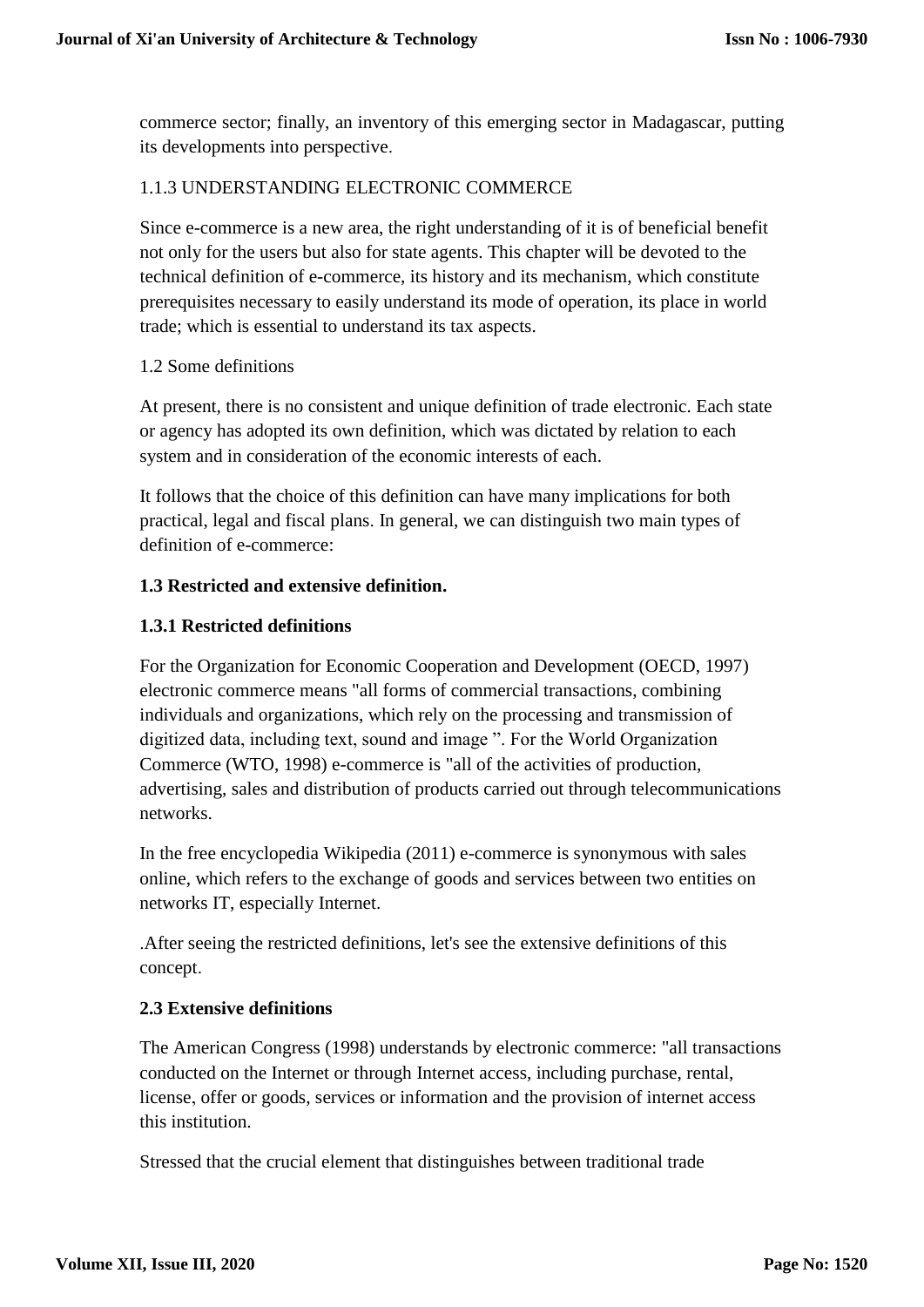commerce sector; finally, an inventory of this emerging sector in Madagascar, putting its developments into perspective.

# 1.1.3 UNDERSTANDING ELECTRONIC COMMERCE

Since e-commerce is a new area, the right understanding of it is of beneficial benefit not only for the users but also for state agents. This chapter will be devoted to the technical definition of e-commerce, its history and its mechanism, which constitute prerequisites necessary to easily understand its mode of operation, its place in world trade; which is essential to understand its tax aspects.

### 1.2 Some definitions

At present, there is no consistent and unique definition of trade electronic. Each state or agency has adopted its own definition, which was dictated by relation to each system and in consideration of the economic interests of each.

It follows that the choice of this definition can have many implications for both practical, legal and fiscal plans. In general, we can distinguish two main types of definition of e-commerce:

# **1.3 Restricted and extensive definition.**

# **1.3.1 Restricted definitions**

For the Organization for Economic Cooperation and Development (OECD, 1997) electronic commerce means "all forms of commercial transactions, combining individuals and organizations, which rely on the processing and transmission of digitized data, including text, sound and image ". For the World Organization Commerce (WTO, 1998) e-commerce is "all of the activities of production, advertising, sales and distribution of products carried out through telecommunications networks.

In the free encyclopedia Wikipedia (2011) e-commerce is synonymous with sales online, which refers to the exchange of goods and services between two entities on networks IT, especially Internet.

.After seeing the restricted definitions, let's see the extensive definitions of this concept.

### **2.3 Extensive definitions**

The American Congress (1998) understands by electronic commerce: "all transactions conducted on the Internet or through Internet access, including purchase, rental, license, offer or goods, services or information and the provision of internet access this institution.

Stressed that the crucial element that distinguishes between traditional trade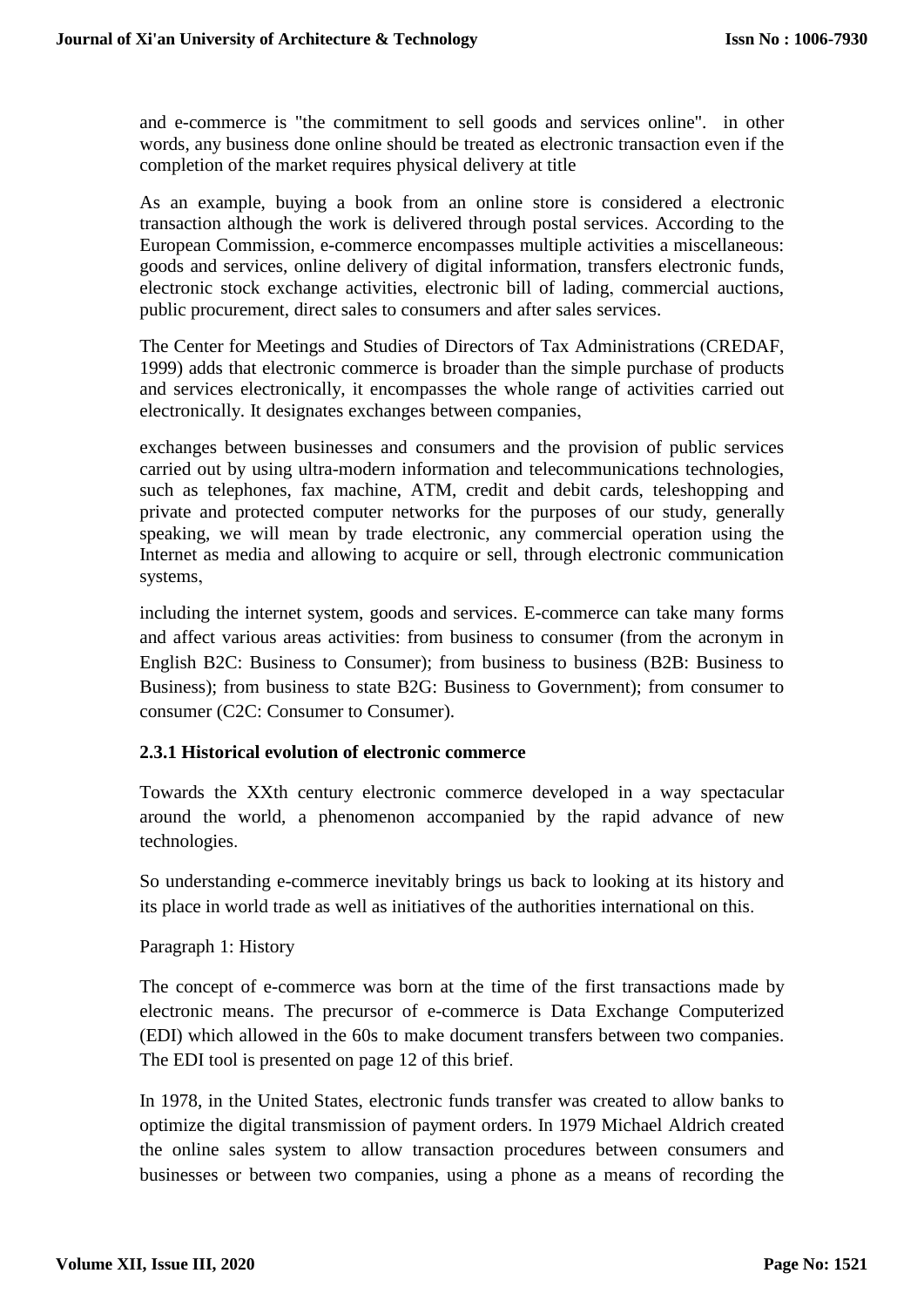and e-commerce is "the commitment to sell goods and services online". in other words, any business done online should be treated as electronic transaction even if the completion of the market requires physical delivery at title

As an example, buying a book from an online store is considered a electronic transaction although the work is delivered through postal services. According to the European Commission, e-commerce encompasses multiple activities a miscellaneous: goods and services, online delivery of digital information, transfers electronic funds, electronic stock exchange activities, electronic bill of lading, commercial auctions, public procurement, direct sales to consumers and after sales services.

The Center for Meetings and Studies of Directors of Tax Administrations (CREDAF, 1999) adds that electronic commerce is broader than the simple purchase of products and services electronically, it encompasses the whole range of activities carried out electronically. It designates exchanges between companies,

exchanges between businesses and consumers and the provision of public services carried out by using ultra-modern information and telecommunications technologies, such as telephones, fax machine, ATM, credit and debit cards, teleshopping and private and protected computer networks for the purposes of our study, generally speaking, we will mean by trade electronic, any commercial operation using the Internet as media and allowing to acquire or sell, through electronic communication systems,

including the internet system, goods and services. E-commerce can take many forms and affect various areas activities: from business to consumer (from the acronym in English B2C: Business to Consumer); from business to business (B2B: Business to Business); from business to state B2G: Business to Government); from consumer to consumer (C2C: Consumer to Consumer).

### **2.3.1 Historical evolution of electronic commerce**

Towards the XXth century electronic commerce developed in a way spectacular around the world, a phenomenon accompanied by the rapid advance of new technologies.

So understanding e-commerce inevitably brings us back to looking at its history and its place in world trade as well as initiatives of the authorities international on this.

### Paragraph 1: History

The concept of e-commerce was born at the time of the first transactions made by electronic means. The precursor of e-commerce is Data Exchange Computerized (EDI) which allowed in the 60s to make document transfers between two companies. The EDI tool is presented on page 12 of this brief.

In 1978, in the United States, electronic funds transfer was created to allow banks to optimize the digital transmission of payment orders. In 1979 Michael Aldrich created the online sales system to allow transaction procedures between consumers and businesses or between two companies, using a phone as a means of recording the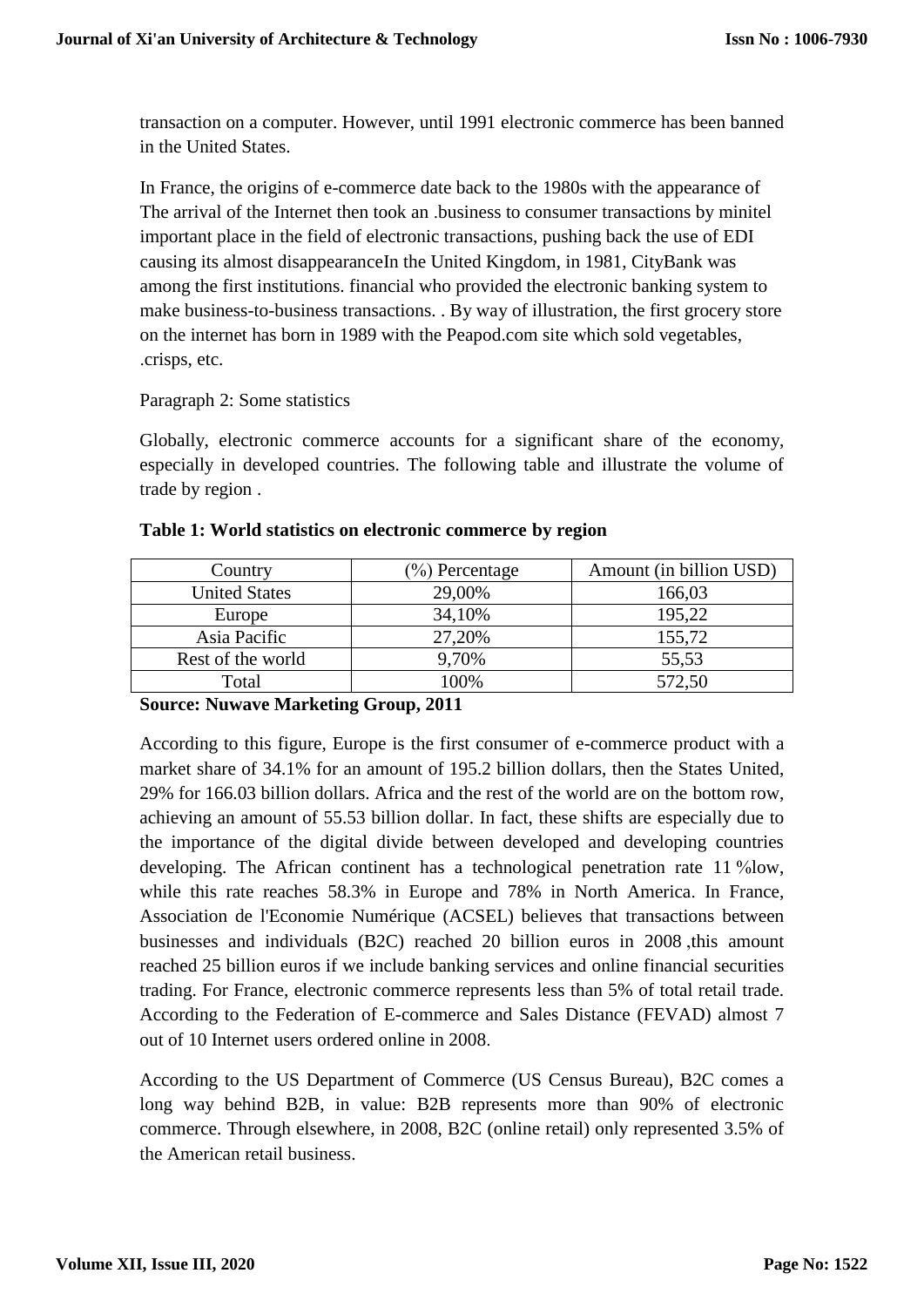transaction on a computer. However, until 1991 electronic commerce has been banned in the United States.

In France, the origins of e-commerce date back to the 1980s with the appearance of The arrival of the Internet then took an .business to consumer transactions by minitel important place in the field of electronic transactions, pushing back the use of EDI causing its almost disappearanceIn the United Kingdom, in 1981, CityBank was among the first institutions. financial who provided the electronic banking system to make business-to-business transactions. . By way of illustration, the first grocery store on the internet has born in 1989 with the Peapod.com site which sold vegetables, .crisps, etc.

# Paragraph 2: Some statistics

Globally, electronic commerce accounts for a significant share of the economy, especially in developed countries. The following table and illustrate the volume of trade by region .

| Country              | $\%$ ) Percentage | Amount (in billion USD) |
|----------------------|-------------------|-------------------------|
| <b>United States</b> | 29,00%            | 166,03                  |
| Europe               | 34,10%            | 195,22                  |
| Asia Pacific         | 27,20%            | 155,72                  |
| Rest of the world    | 9,70%             | 55,53                   |
| Total                | 100%              | 572,50                  |

#### **Table 1: World statistics on electronic commerce by region**

**Source: Nuwave Marketing Group, 2011**

According to this figure, Europe is the first consumer of e-commerce product with a market share of 34.1% for an amount of 195.2 billion dollars, then the States United, 29% for 166.03 billion dollars. Africa and the rest of the world are on the bottom row, achieving an amount of 55.53 billion dollar. In fact, these shifts are especially due to the importance of the digital divide between developed and developing countries developing. The African continent has a technological penetration rate 11 %low, while this rate reaches 58.3% in Europe and 78% in North America. In France, Association de l'Economie Numérique (ACSEL) believes that transactions between businesses and individuals (B2C) reached 20 billion euros in 2008 ,this amount reached 25 billion euros if we include banking services and online financial securities trading. For France, electronic commerce represents less than 5% of total retail trade. According to the Federation of E-commerce and Sales Distance (FEVAD) almost 7 out of 10 Internet users ordered online in 2008.

According to the US Department of Commerce (US Census Bureau), B2C comes a long way behind B2B, in value: B2B represents more than 90% of electronic commerce. Through elsewhere, in 2008, B2C (online retail) only represented 3.5% of the American retail business.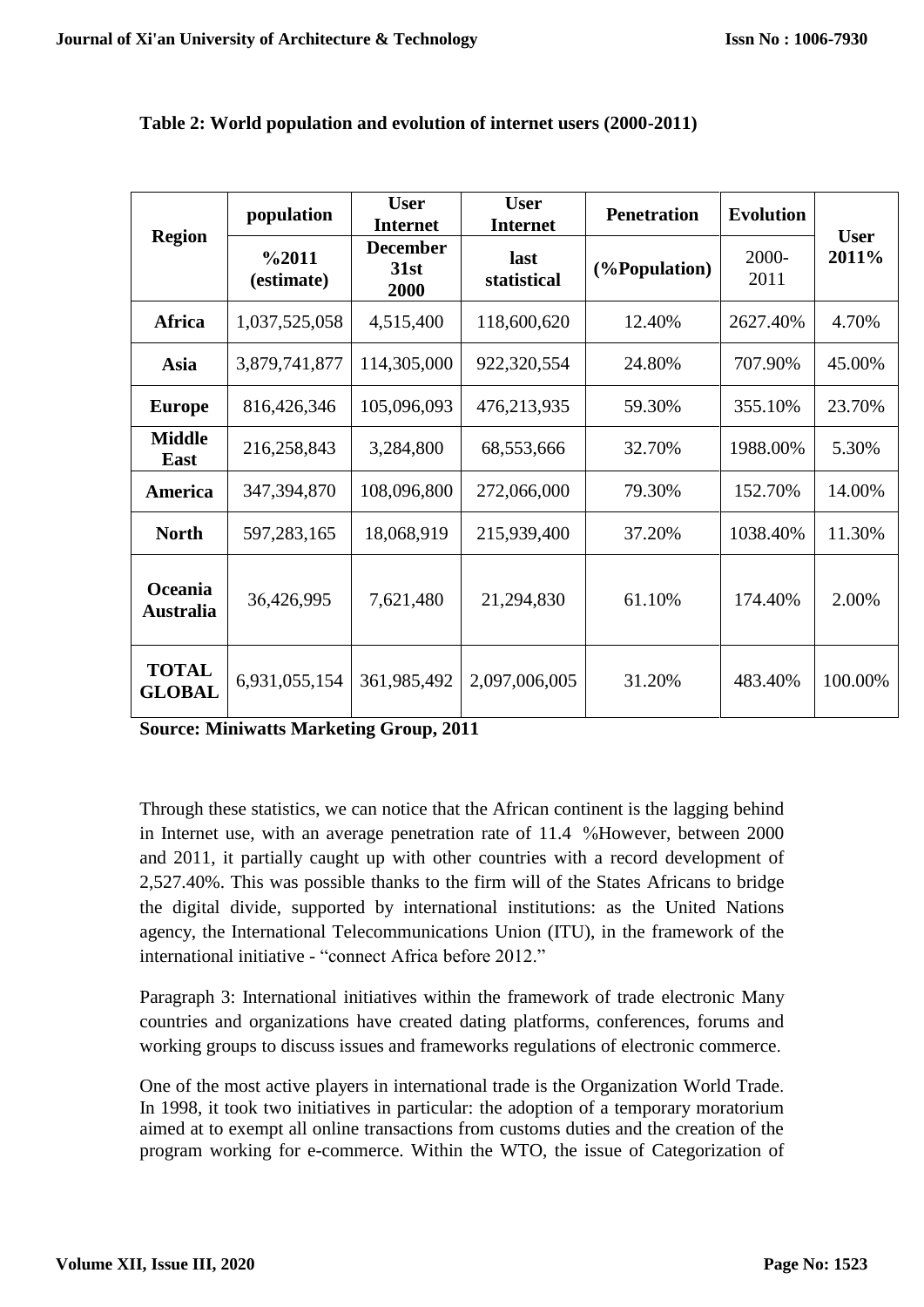| <b>Region</b>                 | population          | <b>User</b><br><b>Internet</b>  | <b>User</b><br><b>Internet</b> | <b>Penetration</b> | <b>Evolution</b> |                      |
|-------------------------------|---------------------|---------------------------------|--------------------------------|--------------------|------------------|----------------------|
|                               | %2011<br>(estimate) | <b>December</b><br>31st<br>2000 | last<br>statistical            | (%Population)      | 2000-<br>2011    | <b>User</b><br>2011% |
| <b>Africa</b>                 | 1,037,525,058       | 4,515,400                       | 118,600,620                    | 12.40%             | 2627.40%         | 4.70%                |
| Asia                          | 3,879,741,877       | 114,305,000                     | 922,320,554                    | 24.80%             | 707.90%          | 45.00%               |
| <b>Europe</b>                 | 816,426,346         | 105,096,093                     | 476,213,935                    | 59.30%             | 355.10%          | 23.70%               |
| <b>Middle</b><br>East         | 216,258,843         | 3,284,800                       | 68,553,666                     | 32.70%             | 1988.00%         | 5.30%                |
| America                       | 347,394,870         | 108,096,800                     | 272,066,000                    | 79.30%             | 152.70%          | 14.00%               |
| <b>North</b>                  | 597,283,165         | 18,068,919                      | 215,939,400                    | 37.20%             | 1038.40%         | 11.30%               |
| Oceania<br>Australia          | 36,426,995          | 7,621,480                       | 21,294,830                     | 61.10%             | 174.40%          | 2.00%                |
| <b>TOTAL</b><br><b>GLOBAL</b> | 6,931,055,154       | 361,985,492                     | 2,097,006,005                  | 31.20%             | 483.40%          | 100.00%              |

### **Table 2: World population and evolution of internet users (2000-2011)**

**Source: Miniwatts Marketing Group, 2011**

Through these statistics, we can notice that the African continent is the lagging behind in Internet use, with an average penetration rate of 11.4 %However, between 2000 and 2011, it partially caught up with other countries with a record development of 2,527.40%. This was possible thanks to the firm will of the States Africans to bridge the digital divide, supported by international institutions: as the United Nations agency, the International Telecommunications Union (ITU), in the framework of the international initiative - "connect Africa before 2012."

Paragraph 3: International initiatives within the framework of trade electronic Many countries and organizations have created dating platforms, conferences, forums and working groups to discuss issues and frameworks regulations of electronic commerce.

One of the most active players in international trade is the Organization World Trade. In 1998, it took two initiatives in particular: the adoption of a temporary moratorium aimed at to exempt all online transactions from customs duties and the creation of the program working for e-commerce. Within the WTO, the issue of Categorization of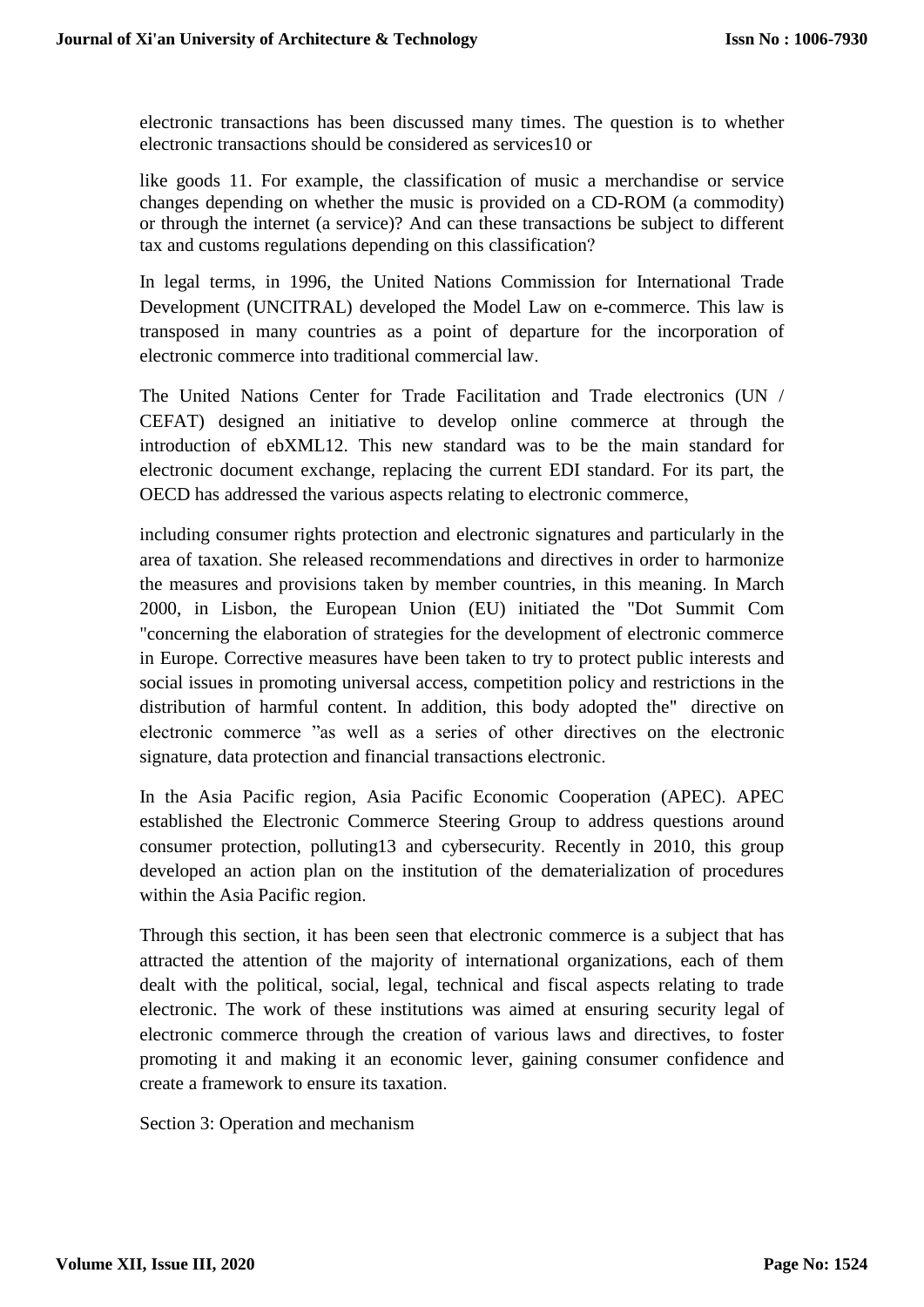electronic transactions has been discussed many times. The question is to whether electronic transactions should be considered as services10 or

like goods 11. For example, the classification of music a merchandise or service changes depending on whether the music is provided on a CD-ROM (a commodity) or through the internet (a service)? And can these transactions be subject to different tax and customs regulations depending on this classification?

In legal terms, in 1996, the United Nations Commission for International Trade Development (UNCITRAL) developed the Model Law on e-commerce. This law is transposed in many countries as a point of departure for the incorporation of electronic commerce into traditional commercial law.

The United Nations Center for Trade Facilitation and Trade electronics (UN / CEFAT) designed an initiative to develop online commerce at through the introduction of ebXML12. This new standard was to be the main standard for electronic document exchange, replacing the current EDI standard. For its part, the OECD has addressed the various aspects relating to electronic commerce,

including consumer rights protection and electronic signatures and particularly in the area of taxation. She released recommendations and directives in order to harmonize the measures and provisions taken by member countries, in this meaning. In March 2000, in Lisbon, the European Union (EU) initiated the "Dot Summit Com "concerning the elaboration of strategies for the development of electronic commerce in Europe. Corrective measures have been taken to try to protect public interests and social issues in promoting universal access, competition policy and restrictions in the distribution of harmful content. In addition, this body adopted the" directive on electronic commerce "as well as a series of other directives on the electronic signature, data protection and financial transactions electronic.

In the Asia Pacific region, Asia Pacific Economic Cooperation (APEC). APEC established the Electronic Commerce Steering Group to address questions around consumer protection, polluting13 and cybersecurity. Recently in 2010, this group developed an action plan on the institution of the dematerialization of procedures within the Asia Pacific region.

Through this section, it has been seen that electronic commerce is a subject that has attracted the attention of the majority of international organizations, each of them dealt with the political, social, legal, technical and fiscal aspects relating to trade electronic. The work of these institutions was aimed at ensuring security legal of electronic commerce through the creation of various laws and directives, to foster promoting it and making it an economic lever, gaining consumer confidence and create a framework to ensure its taxation.

Section 3: Operation and mechanism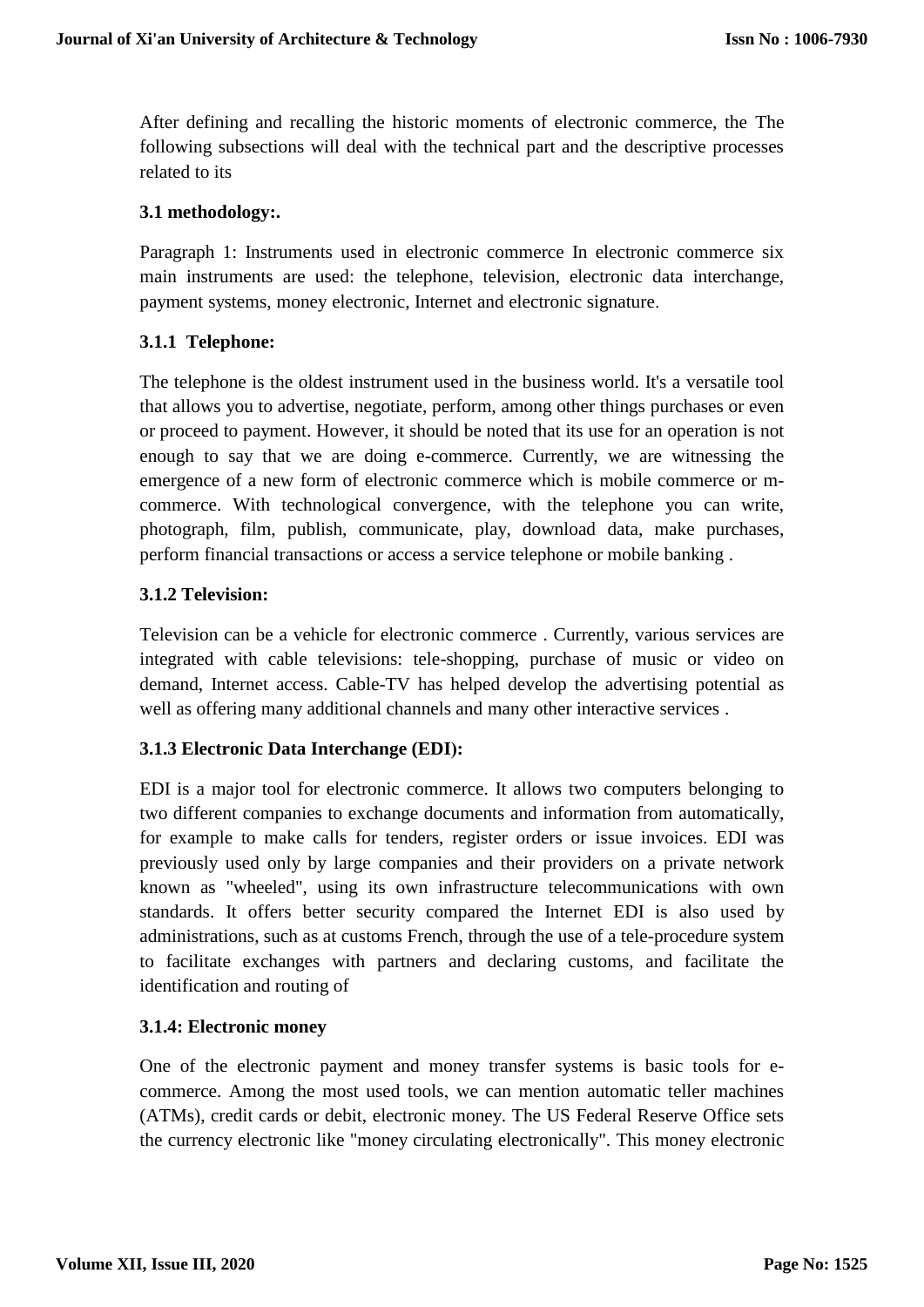After defining and recalling the historic moments of electronic commerce, the The following subsections will deal with the technical part and the descriptive processes related to its

# **3.1 methodology:.**

Paragraph 1: Instruments used in electronic commerce In electronic commerce six main instruments are used: the telephone, television, electronic data interchange, payment systems, money electronic, Internet and electronic signature.

# **3.1.1 Telephone:**

The telephone is the oldest instrument used in the business world. It's a versatile tool that allows you to advertise, negotiate, perform, among other things purchases or even or proceed to payment. However, it should be noted that its use for an operation is not enough to say that we are doing e-commerce. Currently, we are witnessing the emergence of a new form of electronic commerce which is mobile commerce or mcommerce. With technological convergence, with the telephone you can write, photograph, film, publish, communicate, play, download data, make purchases, perform financial transactions or access a service telephone or mobile banking .

# **3.1.2 Television:**

Television can be a vehicle for electronic commerce . Currently, various services are integrated with cable televisions: tele-shopping, purchase of music or video on demand, Internet access. Cable-TV has helped develop the advertising potential as well as offering many additional channels and many other interactive services .

# **3.1.3 Electronic Data Interchange (EDI):**

EDI is a major tool for electronic commerce. It allows two computers belonging to two different companies to exchange documents and information from automatically, for example to make calls for tenders, register orders or issue invoices. EDI was previously used only by large companies and their providers on a private network known as "wheeled", using its own infrastructure telecommunications with own standards. It offers better security compared the Internet EDI is also used by administrations, such as at customs French, through the use of a tele-procedure system to facilitate exchanges with partners and declaring customs, and facilitate the identification and routing of

### **3.1.4: Electronic money**

One of the electronic payment and money transfer systems is basic tools for ecommerce. Among the most used tools, we can mention automatic teller machines (ATMs), credit cards or debit, electronic money. The US Federal Reserve Office sets the currency electronic like "money circulating electronically". This money electronic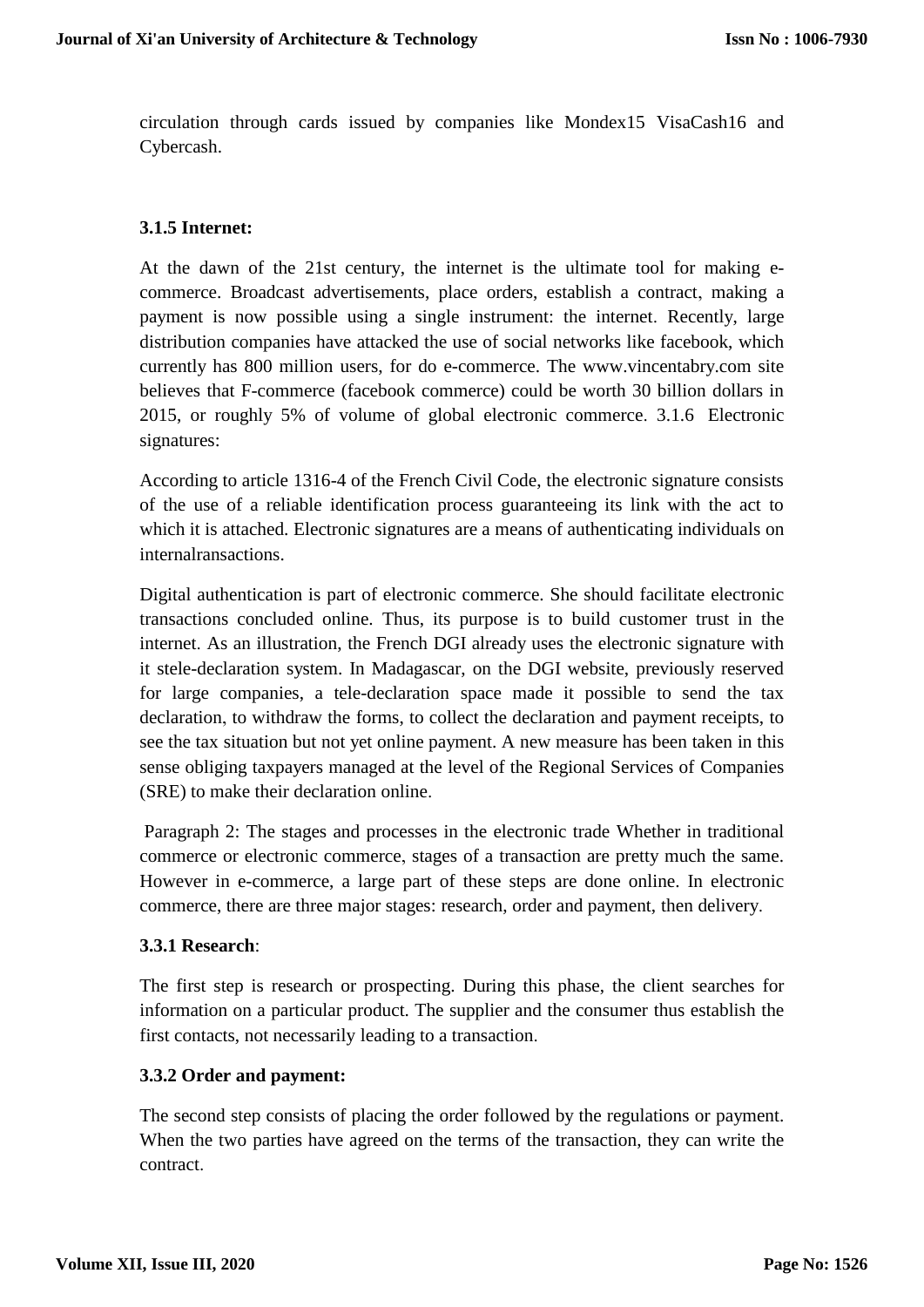circulation through cards issued by companies like Mondex15 VisaCash16 and Cybercash.

# **3.1.5 Internet:**

At the dawn of the 21st century, the internet is the ultimate tool for making ecommerce. Broadcast advertisements, place orders, establish a contract, making a payment is now possible using a single instrument: the internet. Recently, large distribution companies have attacked the use of social networks like facebook, which currently has 800 million users, for do e-commerce. The www.vincentabry.com site believes that F-commerce (facebook commerce) could be worth 30 billion dollars in 2015, or roughly 5% of volume of global electronic commerce. 3.1.6 Electronic signatures:

According to article 1316-4 of the French Civil Code, the electronic signature consists of the use of a reliable identification process guaranteeing its link with the act to which it is attached. Electronic signatures are a means of authenticating individuals on internalransactions.

Digital authentication is part of electronic commerce. She should facilitate electronic transactions concluded online. Thus, its purpose is to build customer trust in the internet. As an illustration, the French DGI already uses the electronic signature with it stele-declaration system. In Madagascar, on the DGI website, previously reserved for large companies, a tele-declaration space made it possible to send the tax declaration, to withdraw the forms, to collect the declaration and payment receipts, to see the tax situation but not yet online payment. A new measure has been taken in this sense obliging taxpayers managed at the level of the Regional Services of Companies (SRE) to make their declaration online.

Paragraph 2: The stages and processes in the electronic trade Whether in traditional commerce or electronic commerce, stages of a transaction are pretty much the same. However in e-commerce, a large part of these steps are done online. In electronic commerce, there are three major stages: research, order and payment, then delivery.

#### **3.3.1 Research**:

The first step is research or prospecting. During this phase, the client searches for information on a particular product. The supplier and the consumer thus establish the first contacts, not necessarily leading to a transaction.

### **3.3.2 Order and payment:**

The second step consists of placing the order followed by the regulations or payment. When the two parties have agreed on the terms of the transaction, they can write the contract.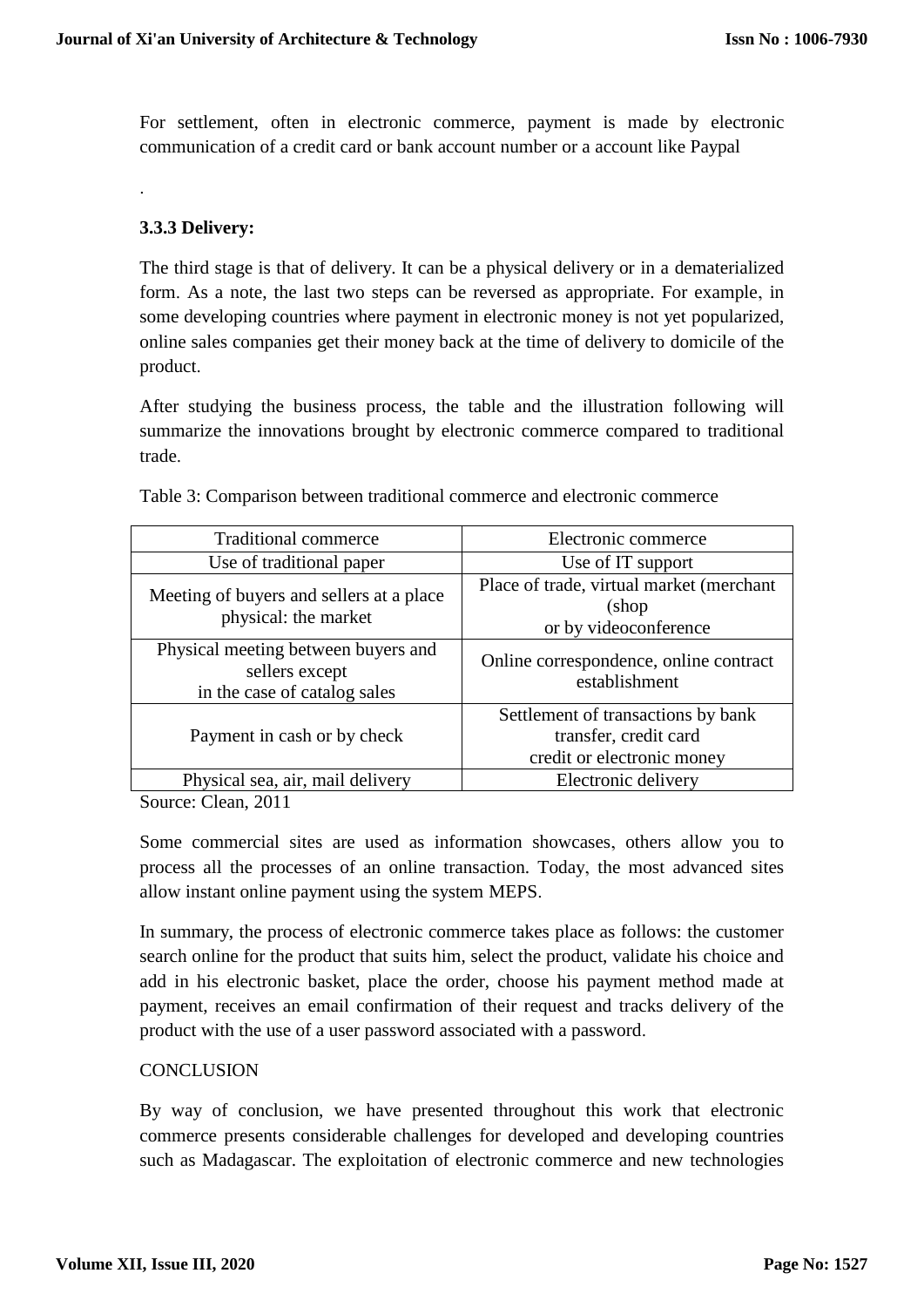For settlement, often in electronic commerce, payment is made by electronic communication of a credit card or bank account number or a account like Paypal

# **3.3.3 Delivery:**

.

The third stage is that of delivery. It can be a physical delivery or in a dematerialized form. As a note, the last two steps can be reversed as appropriate. For example, in some developing countries where payment in electronic money is not yet popularized, online sales companies get their money back at the time of delivery to domicile of the product.

After studying the business process, the table and the illustration following will summarize the innovations brought by electronic commerce compared to traditional trade.

| <b>Traditional commerce</b>                                                           | Electronic commerce                                                                       |  |  |
|---------------------------------------------------------------------------------------|-------------------------------------------------------------------------------------------|--|--|
| Use of traditional paper                                                              | Use of IT support                                                                         |  |  |
| Meeting of buyers and sellers at a place<br>physical: the market                      | Place of trade, virtual market (merchant<br>(shop<br>or by videoconference                |  |  |
| Physical meeting between buyers and<br>sellers except<br>in the case of catalog sales | Online correspondence, online contract<br>establishment                                   |  |  |
| Payment in cash or by check                                                           | Settlement of transactions by bank<br>transfer, credit card<br>credit or electronic money |  |  |
| Physical sea, air, mail delivery                                                      | Electronic delivery                                                                       |  |  |

Table 3: Comparison between traditional commerce and electronic commerce

Source: Clean, 2011

Some commercial sites are used as information showcases, others allow you to process all the processes of an online transaction. Today, the most advanced sites allow instant online payment using the system MEPS.

In summary, the process of electronic commerce takes place as follows: the customer search online for the product that suits him, select the product, validate his choice and add in his electronic basket, place the order, choose his payment method made at payment, receives an email confirmation of their request and tracks delivery of the product with the use of a user password associated with a password.

# **CONCLUSION**

By way of conclusion, we have presented throughout this work that electronic commerce presents considerable challenges for developed and developing countries such as Madagascar. The exploitation of electronic commerce and new technologies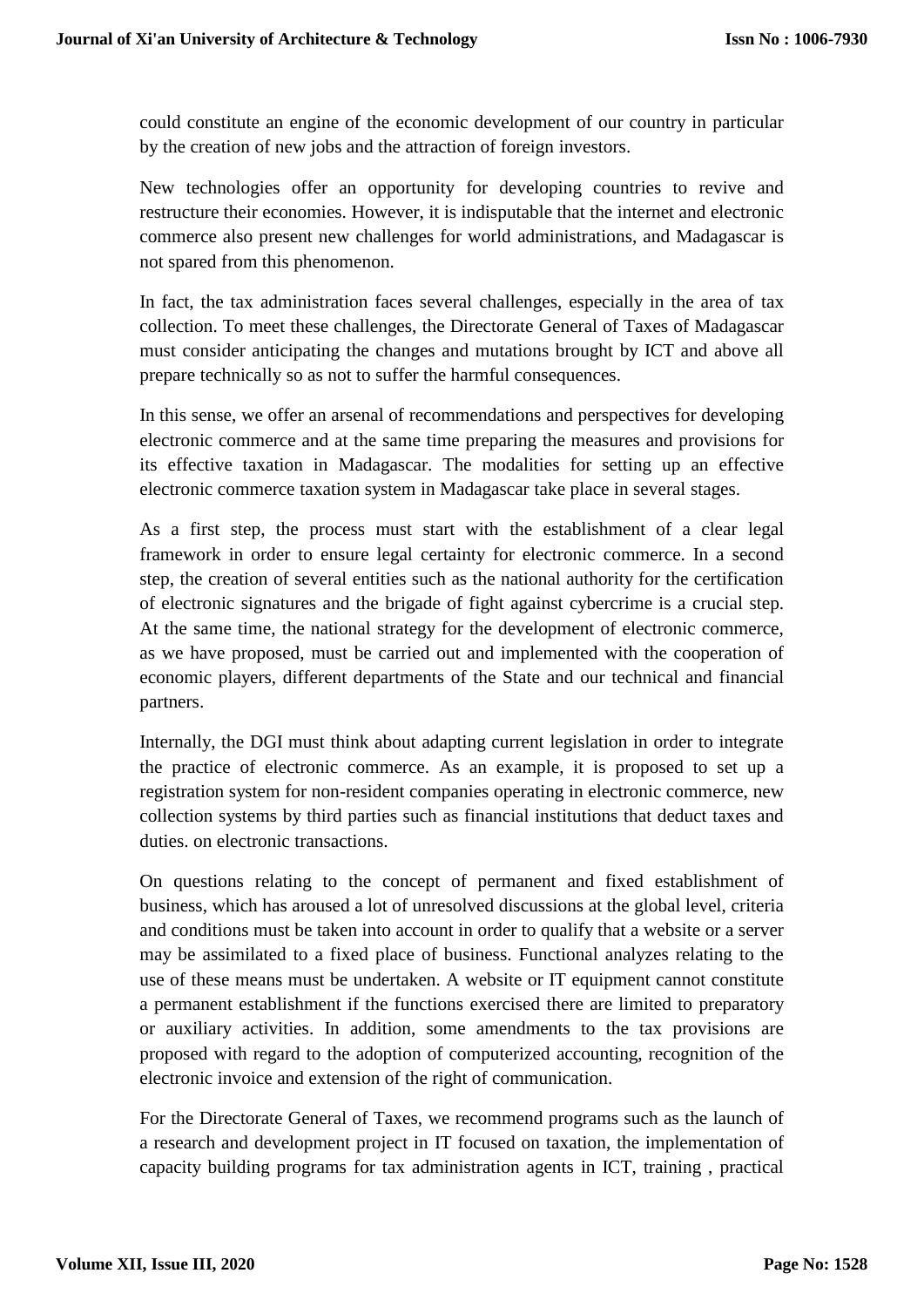could constitute an engine of the economic development of our country in particular by the creation of new jobs and the attraction of foreign investors.

New technologies offer an opportunity for developing countries to revive and restructure their economies. However, it is indisputable that the internet and electronic commerce also present new challenges for world administrations, and Madagascar is not spared from this phenomenon.

In fact, the tax administration faces several challenges, especially in the area of tax collection. To meet these challenges, the Directorate General of Taxes of Madagascar must consider anticipating the changes and mutations brought by ICT and above all prepare technically so as not to suffer the harmful consequences.

In this sense, we offer an arsenal of recommendations and perspectives for developing electronic commerce and at the same time preparing the measures and provisions for its effective taxation in Madagascar. The modalities for setting up an effective electronic commerce taxation system in Madagascar take place in several stages.

As a first step, the process must start with the establishment of a clear legal framework in order to ensure legal certainty for electronic commerce. In a second step, the creation of several entities such as the national authority for the certification of electronic signatures and the brigade of fight against cybercrime is a crucial step. At the same time, the national strategy for the development of electronic commerce, as we have proposed, must be carried out and implemented with the cooperation of economic players, different departments of the State and our technical and financial partners.

Internally, the DGI must think about adapting current legislation in order to integrate the practice of electronic commerce. As an example, it is proposed to set up a registration system for non-resident companies operating in electronic commerce, new collection systems by third parties such as financial institutions that deduct taxes and duties. on electronic transactions.

On questions relating to the concept of permanent and fixed establishment of business, which has aroused a lot of unresolved discussions at the global level, criteria and conditions must be taken into account in order to qualify that a website or a server may be assimilated to a fixed place of business. Functional analyzes relating to the use of these means must be undertaken. A website or IT equipment cannot constitute a permanent establishment if the functions exercised there are limited to preparatory or auxiliary activities. In addition, some amendments to the tax provisions are proposed with regard to the adoption of computerized accounting, recognition of the electronic invoice and extension of the right of communication.

For the Directorate General of Taxes, we recommend programs such as the launch of a research and development project in IT focused on taxation, the implementation of capacity building programs for tax administration agents in ICT, training , practical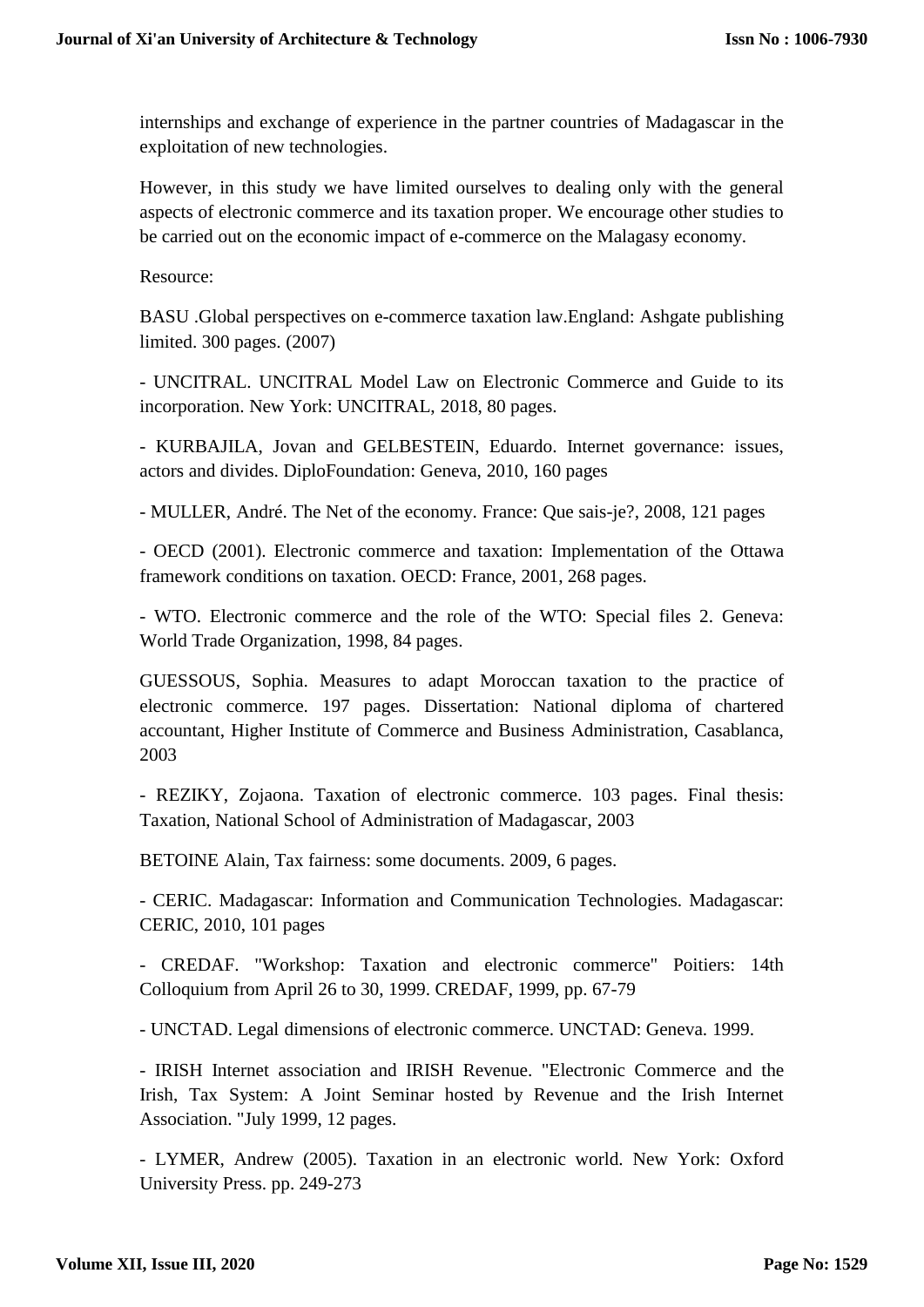internships and exchange of experience in the partner countries of Madagascar in the exploitation of new technologies.

However, in this study we have limited ourselves to dealing only with the general aspects of electronic commerce and its taxation proper. We encourage other studies to be carried out on the economic impact of e-commerce on the Malagasy economy.

Resource:

BASU .Global perspectives on e-commerce taxation law.England: Ashgate publishing limited. 300 pages. (2007)

- UNCITRAL. UNCITRAL Model Law on Electronic Commerce and Guide to its incorporation. New York: UNCITRAL, 2018, 80 pages.

- KURBAJILA, Jovan and GELBESTEIN, Eduardo. Internet governance: issues, actors and divides. DiploFoundation: Geneva, 2010, 160 pages

- MULLER, André. The Net of the economy. France: Que sais-je?, 2008, 121 pages

- OECD (2001). Electronic commerce and taxation: Implementation of the Ottawa framework conditions on taxation. OECD: France, 2001, 268 pages.

- WTO. Electronic commerce and the role of the WTO: Special files 2. Geneva: World Trade Organization, 1998, 84 pages.

GUESSOUS, Sophia. Measures to adapt Moroccan taxation to the practice of electronic commerce. 197 pages. Dissertation: National diploma of chartered accountant, Higher Institute of Commerce and Business Administration, Casablanca, 2003

- REZIKY, Zojaona. Taxation of electronic commerce. 103 pages. Final thesis: Taxation, National School of Administration of Madagascar, 2003

BETOINE Alain, Tax fairness: some documents. 2009, 6 pages.

- CERIC. Madagascar: Information and Communication Technologies. Madagascar: CERIC, 2010, 101 pages

- CREDAF. "Workshop: Taxation and electronic commerce" Poitiers: 14th Colloquium from April 26 to 30, 1999. CREDAF, 1999, pp. 67-79

- UNCTAD. Legal dimensions of electronic commerce. UNCTAD: Geneva. 1999.

- IRISH Internet association and IRISH Revenue. "Electronic Commerce and the Irish, Tax System: A Joint Seminar hosted by Revenue and the Irish Internet Association. "July 1999, 12 pages.

- LYMER, Andrew (2005). Taxation in an electronic world. New York: Oxford University Press. pp. 249-273